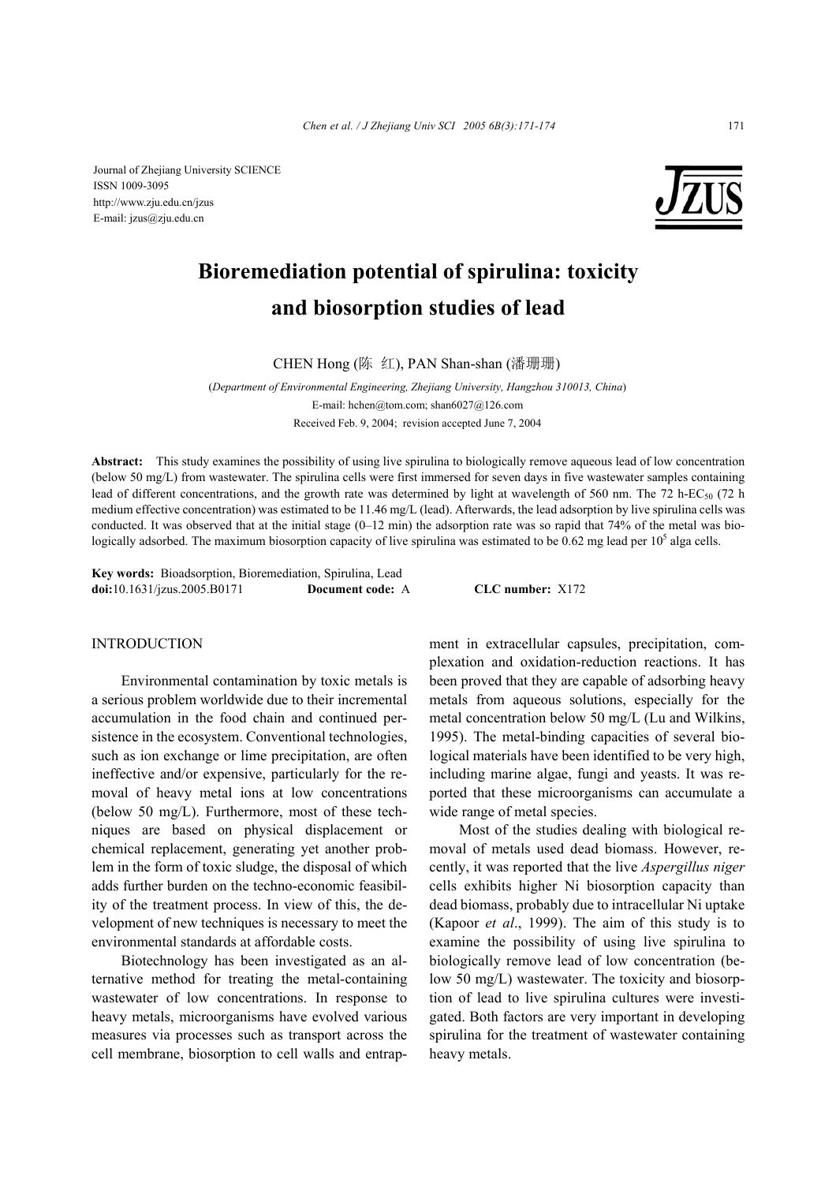Journal of Zhejiang University SCIENCE ISSN 1009-3095 http://www.zju.edu.cn/jzus E-mail: jzus@zju.edu.cn



# **Bioremediation potential of spirulina: toxicity and biosorption studies of lead**

CHEN Hong (陈 红), PAN Shan-shan (潘珊珊)

(*Department of Environmental Engineering, Zhejiang University, Hangzhou 310013, China*) E-mail: hchen@tom.com; shan6027@126.com

Received Feb. 9, 2004; revision accepted June 7, 2004

**Abstract:** This study examines the possibility of using live spirulina to biologically remove aqueous lead of low concentration (below 50 mg/L) from wastewater. The spirulina cells were first immersed for seven days in five wastewater samples containing lead of different concentrations, and the growth rate was determined by light at wavelength of 560 nm. The 72 h-EC<sub>50</sub> (72 h medium effective concentration) was estimated to be 11.46 mg/L (lead). Afterwards, the lead adsorption by live spirulina cells was conducted. It was observed that at the initial stage  $(0-12 \text{ min})$  the adsorption rate was so rapid that 74% of the metal was biologically adsorbed. The maximum biosorption capacity of live spirulina was estimated to be 0.62 mg lead per  $10^5$  alga cells.

**Key words:** Bioadsorption, Bioremediation, Spirulina, Lead **doi:**10.1631/jzus.2005.B0171 **Document code:** A **CLC number:** X172

# **INTRODUCTION**

Environmental contamination by toxic metals is a serious problem worldwide due to their incremental accumulation in the food chain and continued persistence in the ecosystem. Conventional technologies, such as ion exchange or lime precipitation, are often ineffective and/or expensive, particularly for the removal of heavy metal ions at low concentrations (below 50 mg/L). Furthermore, most of these techniques are based on physical displacement or chemical replacement, generating yet another problem in the form of toxic sludge, the disposal of which adds further burden on the techno-economic feasibility of the treatment process. In view of this, the development of new techniques is necessary to meet the environmental standards at affordable costs.

Biotechnology has been investigated as an alternative method for treating the metal-containing wastewater of low concentrations. In response to heavy metals, microorganisms have evolved various measures via processes such as transport across the cell membrane, biosorption to cell walls and entrapment in extracellular capsules, precipitation, complexation and oxidation-reduction reactions. It has been proved that they are capable of adsorbing heavy metals from aqueous solutions, especially for the metal concentration below 50 mg/L (Lu and Wilkins, 1995). The metal-binding capacities of several biological materials have been identified to be very high, including marine algae, fungi and yeasts. It was reported that these microorganisms can accumulate a wide range of metal species.

Most of the studies dealing with biological removal of metals used dead biomass. However, recently, it was reported that the live *Aspergillus niger* cells exhibits higher Ni biosorption capacity than dead biomass, probably due to intracellular Ni uptake (Kapoor *et al*., 1999). The aim of this study is to examine the possibility of using live spirulina to biologically remove lead of low concentration (below 50 mg/L) wastewater. The toxicity and biosorption of lead to live spirulina cultures were investigated. Both factors are very important in developing spirulina for the treatment of wastewater containing heavy metals.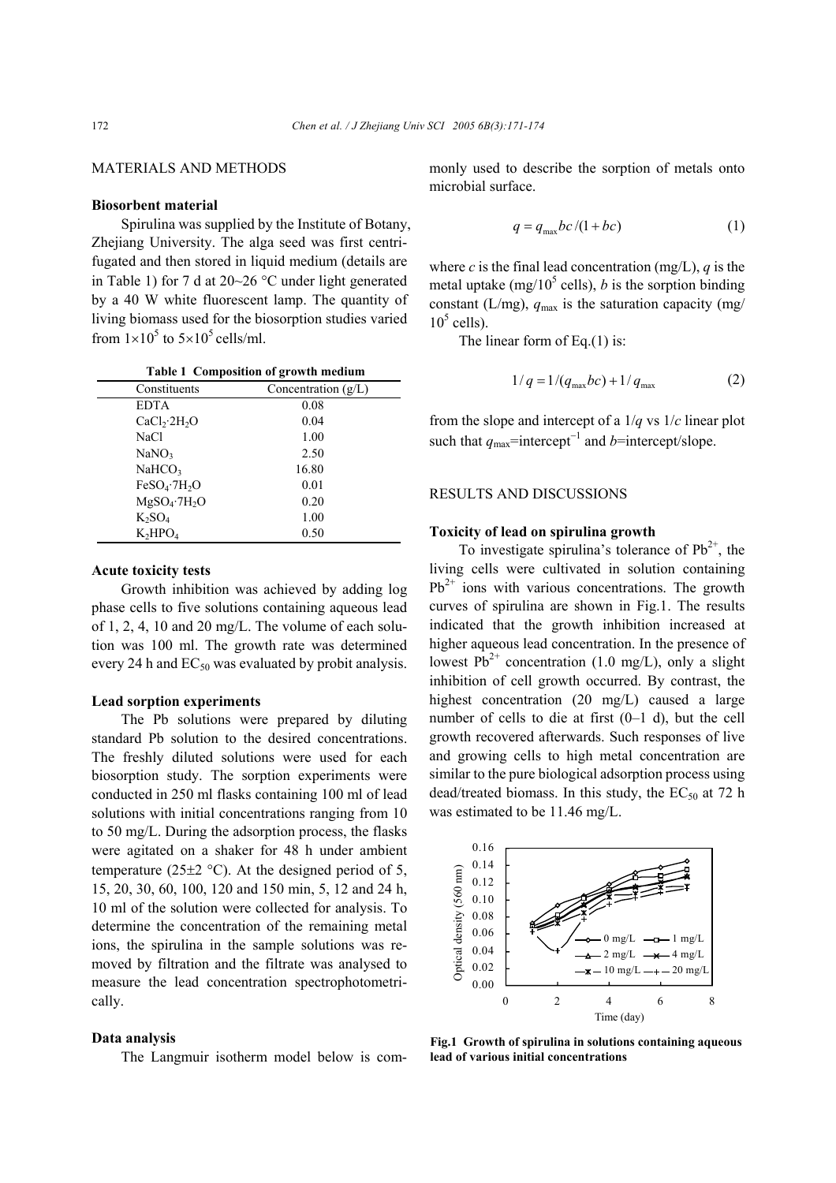# MATERIALS AND METHODS

### **Biosorbent material**

Spirulina was supplied by the Institute of Botany, Zhejiang University. The alga seed was first centrifugated and then stored in liquid medium (details are in Table 1) for 7 d at 20~26 °C under light generated by a 40 W white fluorescent lamp. The quantity of living biomass used for the biosorption studies varied from  $1 \times 10^5$  to  $5 \times 10^5$  cells/ml.

| Table 1 Composition of growth medium |  |
|--------------------------------------|--|
|--------------------------------------|--|

| Constituents                         | Concentration $(g/L)$ |
|--------------------------------------|-----------------------|
| <b>EDTA</b>                          | 0.08                  |
| CaCl <sub>2</sub> ·2H <sub>2</sub> O | 0.04                  |
| NaCl                                 | 1.00                  |
| NaNO <sub>3</sub>                    | 2.50                  |
| NaHCO <sub>3</sub>                   | 16.80                 |
| $FeSO_4$ · $7H_2O$                   | 0.01                  |
| $MgSO_4$ ·7H <sub>2</sub> O          | 0.20                  |
| $K_2SO_4$                            | 1.00                  |
| $K_2HPO4$                            | 0.50                  |

#### **Acute toxicity tests**

Growth inhibition was achieved by adding log phase cells to five solutions containing aqueous lead of 1, 2, 4, 10 and 20 mg/L. The volume of each solution was 100 ml. The growth rate was determined every 24 h and  $EC_{50}$  was evaluated by probit analysis.

#### **Lead sorption experiments**

The Pb solutions were prepared by diluting standard Pb solution to the desired concentrations. The freshly diluted solutions were used for each biosorption study. The sorption experiments were conducted in 250 ml flasks containing 100 ml of lead solutions with initial concentrations ranging from 10 to 50 mg/L. During the adsorption process, the flasks were agitated on a shaker for 48 h under ambient temperature (25 $\pm$ 2 °C). At the designed period of 5, 15, 20, 30, 60, 100, 120 and 150 min, 5, 12 and 24 h, 10 ml of the solution were collected for analysis. To determine the concentration of the remaining metal ions, the spirulina in the sample solutions was removed by filtration and the filtrate was analysed to measure the lead concentration spectrophotometrically.

## **Data analysis**

The Langmuir isotherm model below is com-

monly used to describe the sorption of metals onto microbial surface.

$$
q = q_{\text{max}}bc/(1+bc) \tag{1}
$$

where *c* is the final lead concentration (mg/L),  $q$  is the metal uptake (mg/ $10^5$  cells), *b* is the sorption binding constant (L/mg),  $q_{\text{max}}$  is the saturation capacity (mg/  $10^5$  cells).

The linear form of Eq.(1) is:

$$
1/q = 1/(q_{\text{max}}bc) + 1/q_{\text{max}}
$$
 (2)

from the slope and intercept of a 1/*q* vs 1/*c* linear plot such that  $q_{\text{max}}$ =intercept<sup>-1</sup> and *b*=intercept/slope.

## RESULTS AND DISCUSSIONS

### **Toxicity of lead on spirulina growth**

To investigate spirulina's tolerance of  $Pb^{2+}$ , the living cells were cultivated in solution containing  $Pb^{2+}$  ions with various concentrations. The growth curves of spirulina are shown in Fig.1. The results indicated that the growth inhibition increased at higher aqueous lead concentration. In the presence of lowest  $Pb^{2+}$  concentration (1.0 mg/L), only a slight inhibition of cell growth occurred. By contrast, the highest concentration (20 mg/L) caused a large number of cells to die at first (0–1 d), but the cell growth recovered afterwards. Such responses of live and growing cells to high metal concentration are similar to the pure biological adsorption process using dead/treated biomass. In this study, the  $EC_{50}$  at 72 h was estimated to be 11.46 mg/L.



**Fig.1 Growth of spirulina in solutions containing aqueous lead of various initial concentrations**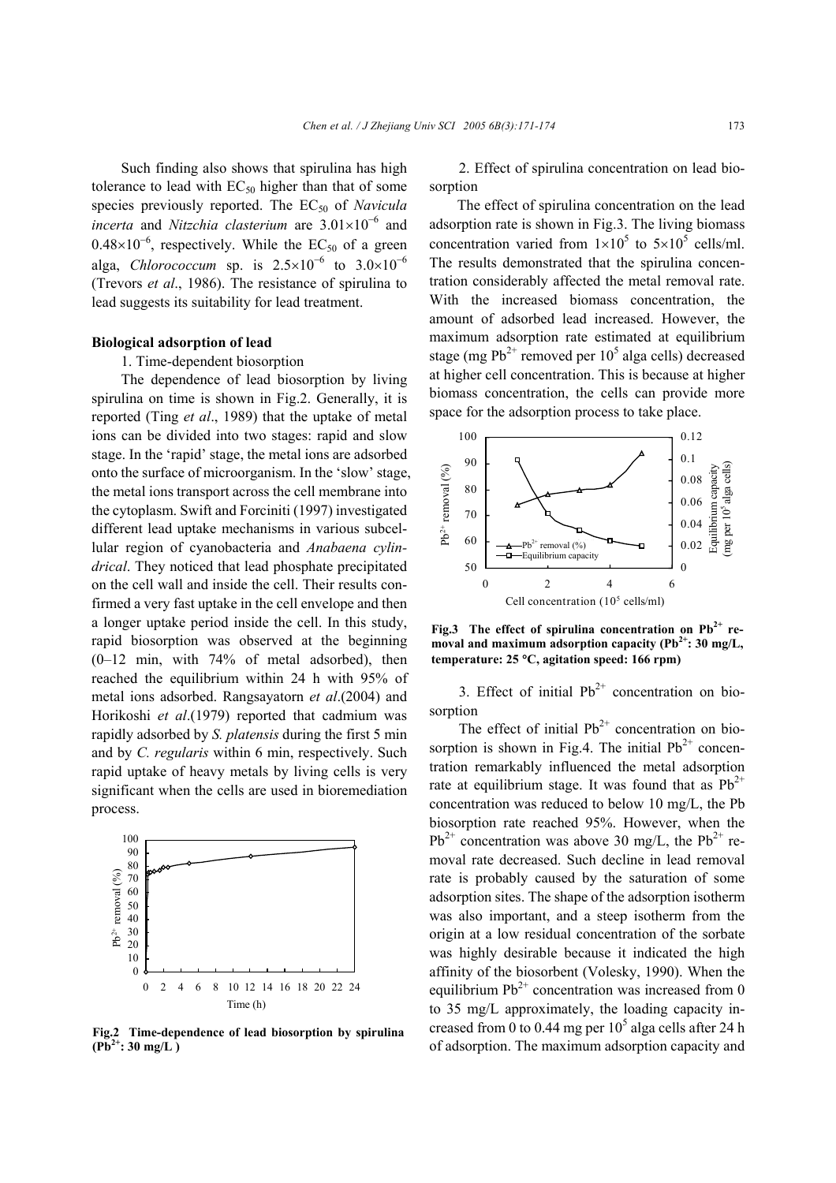Such finding also shows that spirulina has high tolerance to lead with  $EC_{50}$  higher than that of some species previously reported. The EC<sub>50</sub> of *Navicula incerta* and *Nitzchia clasterium* are 3.01×10<sup>−</sup><sup>6</sup> and  $0.48\times10^{-6}$ , respectively. While the EC<sub>50</sub> of a green alga, *Chlorococcum* sp. is  $2.5 \times 10^{-6}$  to  $3.0 \times 10^{-6}$ (Trevors *et al*., 1986). The resistance of spirulina to lead suggests its suitability for lead treatment.

#### **Biological adsorption of lead**

1. Time-dependent biosorption

The dependence of lead biosorption by living spirulina on time is shown in Fig.2. Generally, it is reported (Ting *et al*., 1989) that the uptake of metal ions can be divided into two stages: rapid and slow stage. In the 'rapid' stage, the metal ions are adsorbed onto the surface of microorganism. In the 'slow' stage, the metal ions transport across the cell membrane into the cytoplasm. Swift and Forciniti (1997) investigated different lead uptake mechanisms in various subcellular region of cyanobacteria and *Anabaena cylindrical*. They noticed that lead phosphate precipitated on the cell wall and inside the cell. Their results confirmed a very fast uptake in the cell envelope and then a longer uptake period inside the cell. In this study, rapid biosorption was observed at the beginning (0–12 min, with 74% of metal adsorbed), then reached the equilibrium within 24 h with 95% of metal ions adsorbed. Rangsayatorn *et al*.(2004) and Horikoshi *et al*.(1979) reported that cadmium was rapidly adsorbed by *S. platensis* during the first 5 min and by *C. regularis* within 6 min, respectively. Such rapid uptake of heavy metals by living cells is very significant when the cells are used in bioremediation process.



**Fig.2 Time-dependence of lead biosorption by spirulina**  $(Pb^{2+}: 30 \text{ mg/L})$ 

2. Effect of spirulina concentration on lead biosorption

The effect of spirulina concentration on the lead adsorption rate is shown in Fig.3. The living biomass concentration varied from  $1 \times 10^5$  to  $5 \times 10^5$  cells/ml. The results demonstrated that the spirulina concentration considerably affected the metal removal rate. With the increased biomass concentration, the amount of adsorbed lead increased. However, the maximum adsorption rate estimated at equilibrium stage (mg  $Pb^{2+}$  removed per 10<sup>5</sup> alga cells) decreased at higher cell concentration. This is because at higher biomass concentration, the cells can provide more space for the adsorption process to take place.



**Fig.3 The effect of spirulina concentration on Pb2+ re**moval and maximum adsorption capacity (Pb<sup>2+</sup>: 30 mg/L, **temperature: 25** °**C, agitation speed: 166 rpm)**

3. Effect of initial  $Pb^{2+}$  concentration on biosorption

The effect of initial  $Pb^{2+}$  concentration on biosorption is shown in Fig.4. The initial  $Pb^{2+}$  concentration remarkably influenced the metal adsorption rate at equilibrium stage. It was found that as  $Pb^{2+}$ concentration was reduced to below 10 mg/L, the Pb biosorption rate reached 95%. However, when the  $Pb^{2+}$  concentration was above 30 mg/L, the  $Pb^{2+}$  removal rate decreased. Such decline in lead removal rate is probably caused by the saturation of some adsorption sites. The shape of the adsorption isotherm was also important, and a steep isotherm from the origin at a low residual concentration of the sorbate was highly desirable because it indicated the high affinity of the biosorbent (Volesky, 1990). When the equilibrium  $Pb^{2+}$  concentration was increased from 0 to 35 mg/L approximately, the loading capacity increased from 0 to 0.44 mg per  $10^5$  alga cells after 24 h of adsorption. The maximum adsorption capacity and